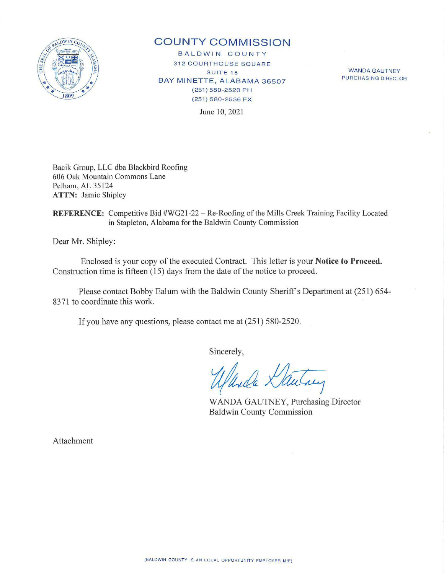

## **COUNTY COMMISSION**

B A L D W IN COUNTY **312 COURTHOUSE SQUARE SUITE 15** BAY MINETTE, ALABAMA 36507 (251) 580- 2520 PH (251) 580-2536 F X

WANDA GAUTNEY PURCHASING DIRECTOR

June 10, 2021

Bacik Group, LLC dba Blackbird Roofing 606 Oak Mountain Commons Lane Pelham, AL 35124 **ATTN:** Jamie Shipley

**REFERENCE:** Competitive Bid #WG21-22 - Re-Roofing of the Mills Creek Training Facility Located in Stapleton, Alabama for the Baldwin County Commission

Dear Mr. Shipley:

Enclosed is your copy of the executed Contract. This letter is your **Notice to Proceed.**  Construction time is fifteen (15) days from the date of the notice to proceed.

Please contact Bobby Ealum with the Baldwin County Sheriff's Department at (251) 654- 8371 to coordinate this work.

If you have any questions, please contact me at (251) 580-2520.

Sincerely,

rly

WANDA GAUTNEY, Purchasing Director Baldwin County Commission

Attachment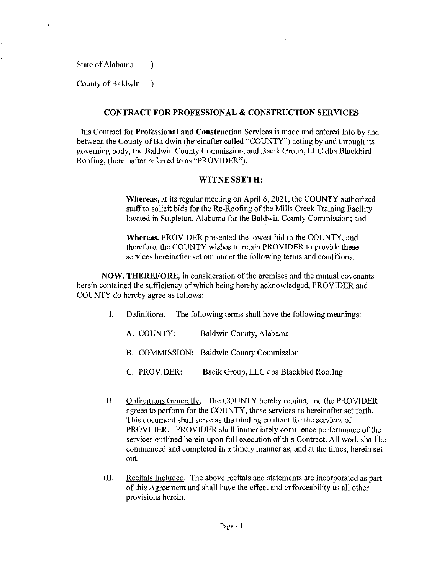State of Alabama (1)

County of Baldwin )

## CONTRACT FOR PROFESSIONAL & CONSTRUCTION SERVICES

This Contract for Professional and Construction Services is made and entered into by and between the County of Baldwin (hereinafter called "COUNTY") acting by and through its governing body, the Baldwin County Commission, and Bacik Group, LLC dba Blackbird Roofing, (hereinafter referred to as "PROVIDER").

## WITNESSETH:

Whereas, at its regular meeting on April 6, 2021, the COUNTY authorized staff to solicit bids for the Re-Roofing of the Mills Creek Training Facility located in Stapleton, Alabama for the Baldwin County Commission; and

Whereas, PROVIDER presented the lowest bid to the COUNTY, and therefore, the COUNTY wishes to retain PROVIDER to provide these services hereinafter set out under the following terms and conditions.

NOW, THEREFORE, in consideration of the premises and the mutual covenants herein contained the sufficiency of which being hereby acknowledged, PROVIDER and COUNTY do hereby agree as follows:

- I. Definitions. The following terms shall have the following meanings:
	- A. COUNTY: Baldwin County, Alabama
	- B. COMMISSION: Baldwin County Commission
	- C. PROVIDER: Bacik Group, LLC dba Blackbird Roofing
- II. Obligations Generally. The COUNTY hereby retains, and the PROVIDER agrees to perform for the COUNTY, those services as hereinafter set forth. This document shall serve as the binding contract for the services of PROVIDER. PROVIDER shall immediately commence performance of the services outlined herein upon full execution of this Contract. All work shall be commenced and completed in a timely manner as, and at the times, herein set out.
- III. Recitals Included. The above recitals and statements are incorporated as part of this Agreement and shall have the effect and enforceability as all other provisions herein.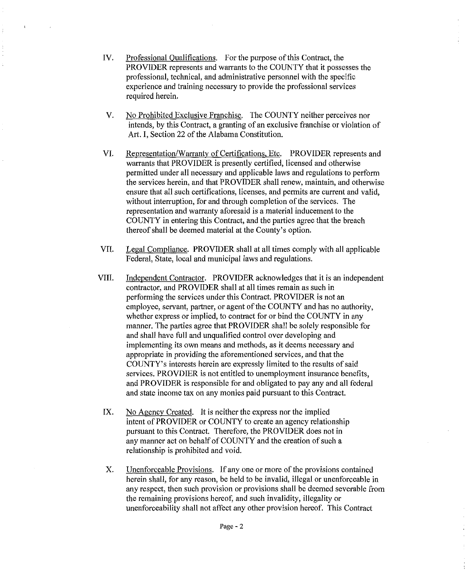- IV. Professional Qualifications. For the purpose of this Contract, the PROVIDER represents and warrants to the COUNTY that it possesses the professional, technical, and administrative personnel with the specific experience and training necessary to provide the professional services required herein.
- V. No Prohibited Exclusive Franchise. The COUNTY neither perceives nor intends, by this Contract, a granting of an exclusive franchise or violation of Art. I, Section 22 of the Alabama Constitution.
- VI. Representation/Warranty of Certifications, Etc. PROVIDER represents and warrants that PROVIDER is presently certified, licensed and otherwise permitted under all necessary and applicable laws and regulations to perform the services herein, and that PROVIDER shall renew, maintain, and otherwise ensure that all such certifications, licenses, and permits are current and valid, without interruption, for and through completion of the services. The representation and warranty aforesaid is a material inducement to the COUNTY in entering this Contract, and the parties agree that the breach thereof shall be deemed material at the County's option.
- VIL Legal Compliance. PROVIDER shall at all times comply with all applicable Federal, State, local and municipal laws and regulations.
- VIII. Independent Contractor. PROVIDER acknowledges that it is an independent contractor, and PROVIDER shall at all times remain as such in performing the services under this Contract. PROVIDER is not an employee, servant, partner, or agent of the COUNTY and has no authority, whether express or implied, to contract for or bind the COUNTY in any manner. The parties agree that PROVIDER shall be solely responsible for and shall have full and unqualified control over developing and implementing its own means and methods, as it deems necessary and appropriate in providing the aforementioned services, and that the COUNTY's interests herein are expressly limited to the results of said services. PROVDIER is not entitled to unemployment insurance benefits, and PROVIDER is responsible for and obligated to pay any and all federal and state income tax on any monies paid pursuant to this Contract.
	- IX. No Agency Created. It is neither the express nor the implied intent of PROVIDER or COUNTY to create an agency relationship pursuant to this Contract. Therefore, the PROVIDER does not in any manner act on behalf of COUNTY and the creation of such a relationship is prohibited and void.
	- X. Unenforceable Provisions. If any one or more of the provisions contained herein shall, for any reason, be held to be invalid, illegal or unenforceable in any respect, then such provision or provisions shall be deemed severable from the remaining provisions hereof, and such invalidity, illegality or unenforceability shall not affect any other provision hereof. This Contract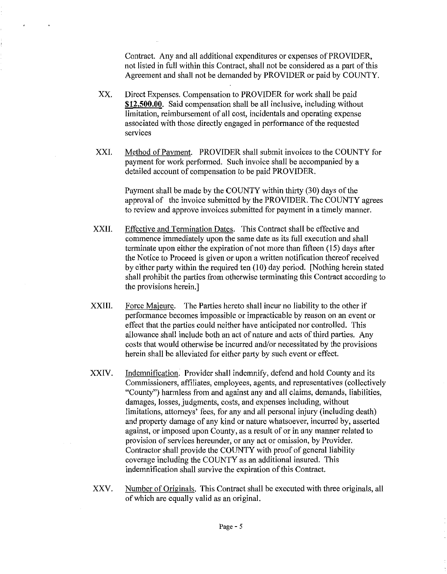Contract. Any and all additional expenditures or expenses of PROVIDER, not listed in full within this Contract, shall not be considered as a part of this Agreement and shall not be demanded by PROVIDER or paid by COUNTY.

XX. Direct Expenses. Compensation to PROVIDER for work shall be paid **\$12,500.00.** Said compensation shall be all inclusive, including without limitation, reimbursement of all cost, incidentals and operating expense associated with those directly engaged in performance of the requested services

 $\bullet$ 

 $\epsilon$ 

XXI. Method of Payment. PROVIDER shall submit invoices to the COUNTY for payment for work performed. Such invoice shall be accompanied by a detailed account of compensation to be paid PROVIDER.

> Payment shall be made by the COUNTY within thirty (30) days of the approval of the invoice submitted by the PROVIDER. The COUNTY agrees to review and approve invoices submitted for payment in a timely manner.

- XXII. Effective and Termination Dates. This Contract shall be effective and commence immediately upon the same date as its full execution and shall terminate upon either the expiration of not more than fifteen (15) days after the Notice to Proceed is given or upon a written notification thereof received by either party within the required ten (10) day period. [Nothing herein stated shall prohibit the parties from otherwise terminating this Contract according to the provisions herein.]
- XXIII. Force Majeure. The Parties hereto shall incur no liability to the other if performance becomes impossible or impracticable by reason on an event or effect that the parties could neither have anticipated nor controlled. This allowance shall include both an act of nature and acts of third parties. Any costs that would otherwise be incurred and/or necessitated by the provisions herein shall be alleviated for either party by such event or effect.
- XXIV. Indemnification. Provider shall indemnify, defend and hold County and its Commissioners, affiliates, employees, agents, and representatives (collectively "County") harmless from and against any and all claims, demands, liabilities, damages, losses, judgments, costs, and expenses including, without limitations, attorneys' fees, for any and all personal injury (including death) and property damage of any kind or nature whatsoever, incurred by, asserted against, or imposed upon County, as a result of or in any manner related to provision of services hereunder, or any act or omission, by Provider. Contractor shall provide the COUNTY with proof of general liability coverage including the COUNTY as an additional insured. This indemnification shall survive the expiration of this Contract.
- XXV. Number of Originals. This Contract shall be executed with three originals, all of which are equally valid as an original.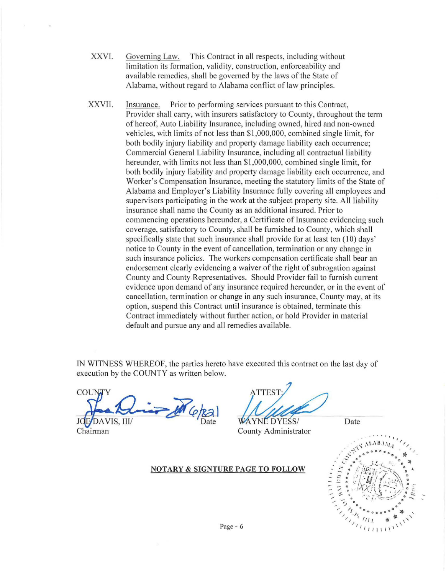- XXVl. Governing Law. This Contract in all respects, including without limitation its formation, validity, construction, enforceability and available remedies, shall be governed by the laws of the State of Alabama, without regard to Alabama conflict of law principles.
- XXVII. Insurance. Prior to performing services pursuant to this Contract, Provider shall carry, with insurers satisfactory to County, throughout the term of hereof, Auto Liability Insurance, including owned, hired and non-owned vehicles, with limits of not less than \$ 1,000,000, combined single limit, for both bodily injury liability and property damage liability each occurrence; Commercial General Liability Insurance, including all contractual liability hereunder, with limits not less than \$1,000,000, combined single limit, for both bodily injury liability and property damage liability each occurrence, and Worker's Compensation Insurance, meeting the statutory limits of the State of Alabama and Employer's Liability Insurance fully covering all employees and supervisors participating in the work at the subject property site. All liability insurance shall name the County as an additional insured. Prior to commencing operations hereunder, a Certificate of Insurance evidencing such coverage, satisfactory to County, shall be furnished to County, which shall specifically state that such insurance shall provide for at least ten (10) days' notice to County in the event of cancellation, termination or any change in such insurance policies. The workers compensation certificate shall bear an endorsement clearly evidencing a waiver of the right of subrogation against County and County Representatives. Should Provider fail to furnish current evidence upon demand of any insurance required hereunder, or in the event of cancellation, termination or change in any such insurance, County may, at its option, suspend this Contract until insurance is obtained, terminate this Contract immediately without further action, or hold Provider in material default and pursue any and all remedies available.

IN WITNESS WHEREOF, the parties hereto have executed this contract on the last day of execution by the COUNTY as written below.

y COUN Nie M (e/Ra) WYNEDYESS/ Date

**ATTEST** 

Chairman County Administrator



Page - 6

NOTARY & SIGNTURE PAGE TO FOLLOW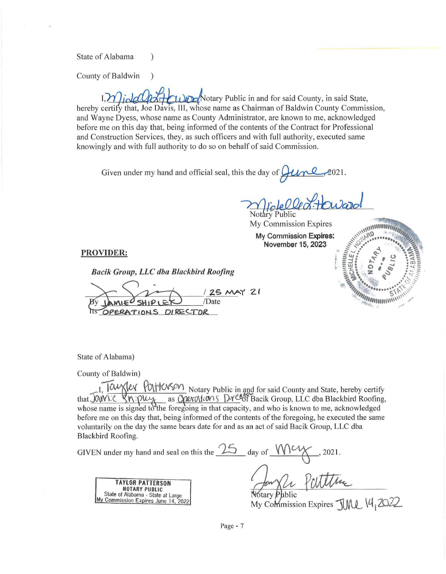State of Alabama (1)

County of Baldwin )

 $\frac{1}{\sqrt{1-\frac{1}{\sqrt{1-\frac{1}{\sqrt{1-\frac{1}{\sqrt{1-\frac{1}{\sqrt{1-\frac{1}{\sqrt{1-\frac{1}{\sqrt{1-\frac{1}{\sqrt{1-\frac{1}{\sqrt{1-\frac{1}{\sqrt{1-\frac{1}{\sqrt{1-\frac{1}{\sqrt{1-\frac{1}{\sqrt{1-\frac{1}{\sqrt{1-\frac{1}{\sqrt{1-\frac{1}{\sqrt{1-\frac{1}{\sqrt{1-\frac{1}{\sqrt{1-\frac{1}{\sqrt{1-\frac{1}{\sqrt{1-\frac{1}{\sqrt{1-\frac{1}{\sqrt{1-\frac{1}{\sqrt{1-\frac{1}{\sqrt{1-\frac{1$ hereby certify that, Joe Davis, III, whose name as Chairman of Baldwin County Commission, and Wayne Dyess, whose name as County Administrator, are known to me, acknowledged before me on this day that, being informed of the contents of the Contract for Professional and Construction Services, they, as such officers and with full authority, executed same knowingly and with full authority to do so on behalf of said Commission.

Given under my hand and official seal, this the day of  $\mu$ 

**Notary Public** 

My Commission Expires

My Commission Expires: November 15, 2023



## PROVIDER:

*Bacik Group, LLC dba Blackbird Roofing* 

MAY 21 /Date OPERATIONS DIRECTOR

State of Alabama)

County of Baldwin)

. [OWXIEV YOLTONSON] Notary Public in and for said County and State, hereby certify at JOWE SN: Plux as Courcitions Dreed Bacik Group, LLC dba Blackbird Roofing, whose name is signed to the foregoing in that capacity, and who is known to me, acknowledged before me on this day that, being informed of the contents of the foregoing, he executed the same voluntarily on the day the same bears date for and as an act of said Bacik Group, LLC dba Blackbird Roofing.

| GIVEN under my hand and seal on this the                                                                                    | day of                                                |
|-----------------------------------------------------------------------------------------------------------------------------|-------------------------------------------------------|
| <b>TAYLOR PATTERSON</b><br><b>NOTARY PUBLIC</b><br>State of Alabama - State at Large<br>My Commission Expires June 14, 2022 | Notary Public<br>My Commission Expires TIMA, 14, 2022 |